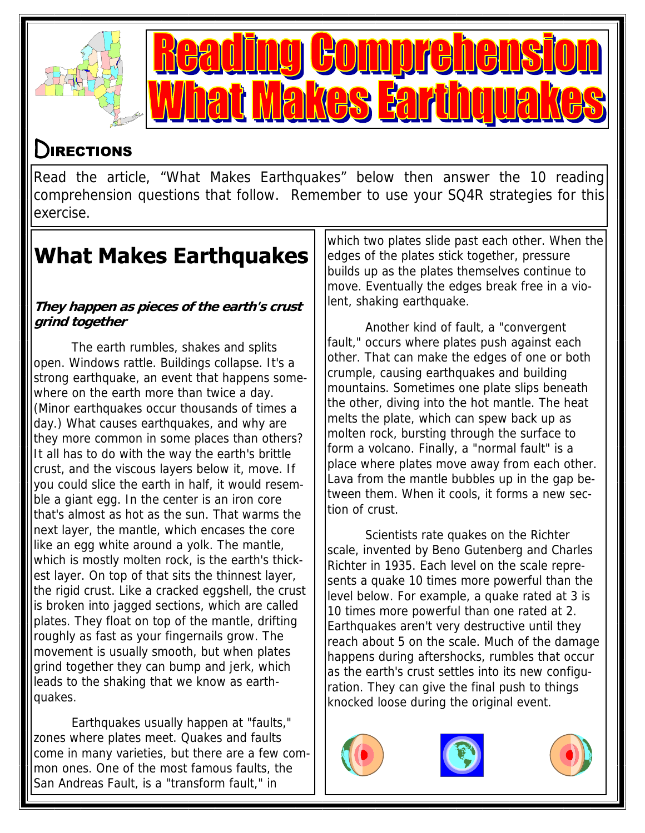



## DIRECTIONS

Read the article, "What Makes Earthquakes" below then answer the 10 reading comprehension questions that follow. Remember to use your SQ4R strategies for this exercise.

## **What Makes Earthquakes**

#### **They happen as pieces of the earth's crust grind together**

The earth rumbles, shakes and splits open. Windows rattle. Buildings collapse. It's a strong earthquake, an event that happens somewhere on the earth more than twice a day. (Minor earthquakes occur thousands of times a day.) What causes earthquakes, and why are they more common in some places than others? It all has to do with the way the earth's brittle crust, and the viscous layers below it, move. If you could slice the earth in half, it would resemble a giant egg. In the center is an iron core that's almost as hot as the sun. That warms the next layer, the mantle, which encases the core like an egg white around a yolk. The mantle, which is mostly molten rock, is the earth's thickest layer. On top of that sits the thinnest layer, the rigid crust. Like a cracked eggshell, the crust is broken into jagged sections, which are called plates. They float on top of the mantle, drifting roughly as fast as your fingernails grow. The movement is usually smooth, but when plates grind together they can bump and jerk, which leads to the shaking that we know as earthquakes.

Earthquakes usually happen at "faults," zones where plates meet. Quakes and faults come in many varieties, but there are a few common ones. One of the most famous faults, the San Andreas Fault, is a "transform fault," in

which two plates slide past each other. When the edges of the plates stick together, pressure builds up as the plates themselves continue to move. Eventually the edges break free in a violent, shaking earthquake.

Another kind of fault, a "convergent fault," occurs where plates push against each other. That can make the edges of one or both crumple, causing earthquakes and building mountains. Sometimes one plate slips beneath the other, diving into the hot mantle. The heat melts the plate, which can spew back up as molten rock, bursting through the surface to form a volcano. Finally, a "normal fault" is a place where plates move away from each other. Lava from the mantle bubbles up in the gap between them. When it cools, it forms a new section of crust.

Scientists rate quakes on the Richter scale, invented by Beno Gutenberg and Charles Richter in 1935. Each level on the scale represents a quake 10 times more powerful than the level below. For example, a quake rated at 3 is 10 times more powerful than one rated at 2. Earthquakes aren't very destructive until they reach about 5 on the scale. Much of the damage happens during aftershocks, rumbles that occur as the earth's crust settles into its new configuration. They can give the final push to things knocked loose during the original event.





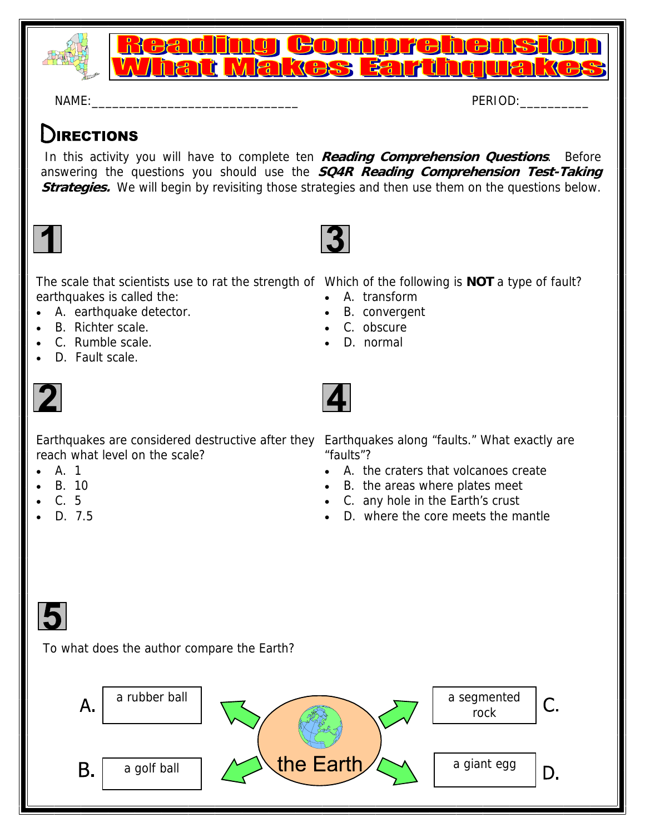

<u>Reading Comprehe</u> <u>What Makes Earthqual</u>

 $NAME:$ 

### DIRECTIONS

 In this activity you will have to complete ten **Reading Comprehension Questions**. Before answering the questions you should use the **SQ4R Reading Comprehension Test-Taking Strategies.** We will begin by revisiting those strategies and then use them on the questions below.



The scale that scientists use to rat the strength of Which of the following is **NOT** a type of fault? earthquakes is called the:

- A. earthquake detector.
- B. Richter scale.
- C. Rumble scale.
- D. Fault scale.



Earthquakes are considered destructive after they Earthquakes along "faults." What exactly are reach what level on the scale?

- A. 1
- B. 10
- C. 5
- D. 7.5

- A. transform
- B. convergent
- C. obscure
- D. normal



"faults"?

- A. the craters that volcanoes create
- B. the areas where plates meet
- C. any hole in the Earth's crust
- D. where the core meets the mantle



To what does the author compare the Earth?